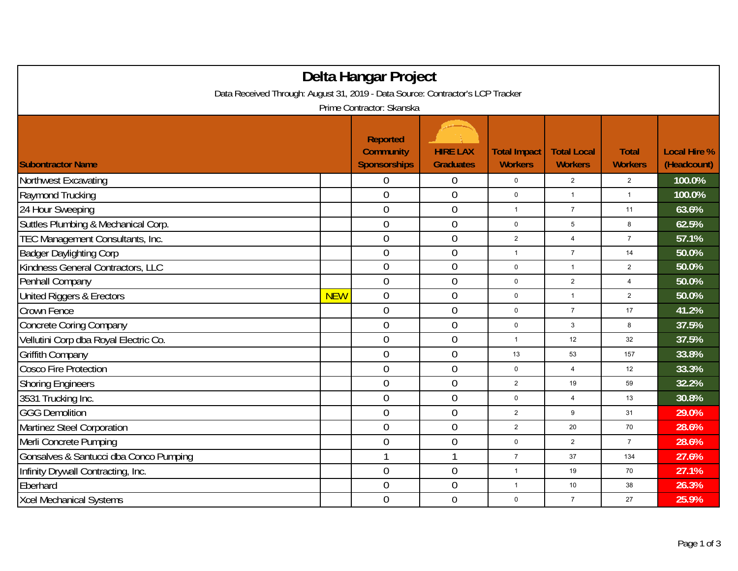| Delta Hangar Project                                                           |            |                                                            |                                     |                                       |                                      |                                |                                    |  |  |
|--------------------------------------------------------------------------------|------------|------------------------------------------------------------|-------------------------------------|---------------------------------------|--------------------------------------|--------------------------------|------------------------------------|--|--|
| Data Received Through: August 31, 2019 - Data Source: Contractor's LCP Tracker |            |                                                            |                                     |                                       |                                      |                                |                                    |  |  |
| Prime Contractor: Skanska                                                      |            |                                                            |                                     |                                       |                                      |                                |                                    |  |  |
| <b>Subontractor Name</b>                                                       |            | <b>Reported</b><br><b>Community</b><br><b>Sponsorships</b> | <b>HIRE LAX</b><br><b>Graduates</b> | <b>Total Impact</b><br><b>Workers</b> | <b>Total Local</b><br><b>Workers</b> | <b>Total</b><br><b>Workers</b> | <b>Local Hire %</b><br>(Headcount) |  |  |
| Northwest Excavating                                                           |            | 0                                                          | $\theta$                            | $\pmb{0}$                             | $\overline{2}$                       | $\overline{2}$                 | 100.0%                             |  |  |
| Raymond Trucking                                                               |            | $\mathbf 0$                                                | $\boldsymbol{0}$                    | $\mathsf{O}\xspace$                   | $\mathbf{1}$                         | $\mathbf{1}$                   | 100.0%                             |  |  |
| 24 Hour Sweeping                                                               |            | $\mathbf 0$                                                | $\mathbf 0$                         | $\mathbf{1}$                          | $\overline{7}$                       | 11                             | 63.6%                              |  |  |
| Suttles Plumbing & Mechanical Corp.                                            |            | $\overline{0}$                                             | $\mathbf 0$                         | $\mathbf 0$                           | 5                                    | 8                              | 62.5%                              |  |  |
| TEC Management Consultants, Inc.                                               |            | $\overline{0}$                                             | $\mathbf 0$                         | $\overline{2}$                        | $\overline{4}$                       | $\overline{7}$                 | 57.1%                              |  |  |
| <b>Badger Daylighting Corp</b>                                                 |            | $\overline{0}$                                             | $\mathbf 0$                         | $\mathbf{1}$                          | $\overline{7}$                       | 14                             | 50.0%                              |  |  |
| Kindness General Contractors, LLC                                              |            | $\overline{0}$                                             | $\boldsymbol{0}$                    | $\mathbf 0$                           | $\mathbf{1}$                         | $\overline{c}$                 | 50.0%                              |  |  |
| Penhall Company                                                                |            | $\mathbf 0$                                                | $\boldsymbol{0}$                    | $\mathsf{O}\xspace$                   | $\overline{2}$                       | $\overline{\mathbf{4}}$        | 50.0%                              |  |  |
| United Riggers & Erectors                                                      | <b>NEW</b> | $\overline{0}$                                             | $\mathbf 0$                         | $\mathbf 0$                           | $\mathbf{1}$                         | $\overline{2}$                 | 50.0%                              |  |  |
| Crown Fence                                                                    |            | $\mathbf 0$                                                | $\mathbf 0$                         | $\mathbf 0$                           | $\overline{7}$                       | 17                             | 41.2%                              |  |  |
| <b>Concrete Coring Company</b>                                                 |            | $\overline{0}$                                             | $\mathbf 0$                         | $\mathbf 0$                           | 3                                    | 8                              | 37.5%                              |  |  |
| Vellutini Corp dba Royal Electric Co.                                          |            | $\overline{0}$                                             | $\boldsymbol{0}$                    | $\mathbf{1}$                          | 12                                   | 32                             | 37.5%                              |  |  |
| <b>Griffith Company</b>                                                        |            | $\overline{0}$                                             | $\overline{0}$                      | 13                                    | 53                                   | 157                            | 33.8%                              |  |  |
| Cosco Fire Protection                                                          |            | $\overline{0}$                                             | $\mathbf 0$                         | 0                                     | 4                                    | 12                             | 33.3%                              |  |  |
| <b>Shoring Engineers</b>                                                       |            | $\overline{0}$                                             | $\overline{0}$                      | $\overline{2}$                        | 19                                   | 59                             | 32.2%                              |  |  |
| 3531 Trucking Inc.                                                             |            | $\overline{0}$                                             | $\boldsymbol{0}$                    | $\mathbf 0$                           | 4                                    | 13                             | 30.8%                              |  |  |
| <b>GGG Demolition</b>                                                          |            | $\overline{0}$                                             | $\mathbf 0$                         | $\overline{2}$                        | 9                                    | 31                             | 29.0%                              |  |  |
| Martinez Steel Corporation                                                     |            | $\overline{0}$                                             | $\mathbf 0$                         | $\overline{2}$                        | 20                                   | 70                             | 28.6%                              |  |  |
| Merli Concrete Pumping                                                         |            | $\mathbf 0$                                                | $\mathbf 0$                         | $\mathbf 0$                           | $\overline{2}$                       | $\overline{7}$                 | 28.6%                              |  |  |
| Gonsalves & Santucci dba Conco Pumping                                         |            | 1                                                          | $\mathbf{1}$                        | $\overline{7}$                        | 37                                   | 134                            | 27.6%                              |  |  |
| Infinity Drywall Contracting, Inc.                                             |            | $\overline{0}$                                             | $\boldsymbol{0}$                    | $\mathbf{1}$                          | 19                                   | 70                             | 27.1%                              |  |  |
| Eberhard                                                                       |            | $\overline{0}$                                             | $\mathbf 0$                         | $\mathbf{1}$                          | 10                                   | 38                             | 26.3%                              |  |  |
| <b>Xcel Mechanical Systems</b>                                                 |            | $\overline{0}$                                             | $\mathbf 0$                         | 0                                     | $\overline{7}$                       | 27                             | 25.9%                              |  |  |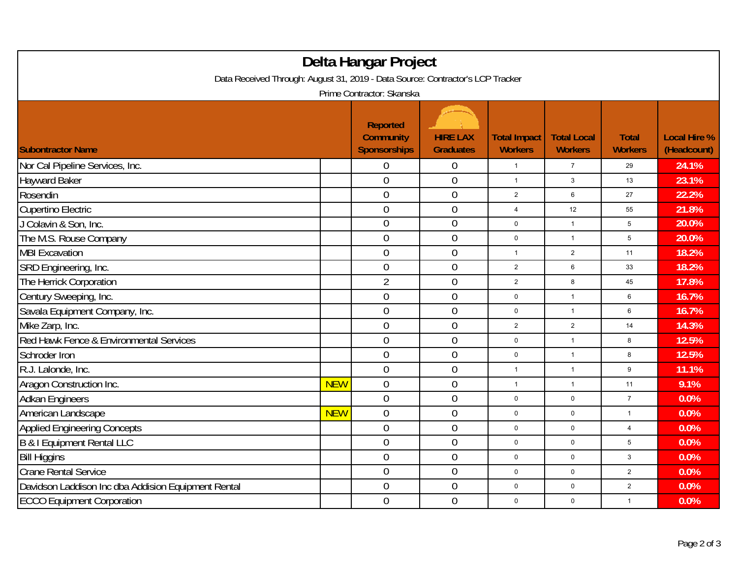| Delta Hangar Project<br>Data Received Through: August 31, 2019 - Data Source: Contractor's LCP Tracker |            |                                                            |                                     |                                       |                                      |                                |                                    |  |  |
|--------------------------------------------------------------------------------------------------------|------------|------------------------------------------------------------|-------------------------------------|---------------------------------------|--------------------------------------|--------------------------------|------------------------------------|--|--|
| Prime Contractor: Skanska                                                                              |            |                                                            |                                     |                                       |                                      |                                |                                    |  |  |
| <b>Subontractor Name</b>                                                                               |            | <b>Reported</b><br><b>Community</b><br><b>Sponsorships</b> | <b>HIRE LAX</b><br><b>Graduates</b> | <b>Total Impact</b><br><b>Workers</b> | <b>Total Local</b><br><b>Workers</b> | <b>Total</b><br><b>Workers</b> | <b>Local Hire %</b><br>(Headcount) |  |  |
| Nor Cal Pipeline Services, Inc.                                                                        |            | 0                                                          | 0                                   | $\mathbf{1}$                          | $\overline{7}$                       | 29                             | 24.1%                              |  |  |
| <b>Hayward Baker</b>                                                                                   |            | $\overline{0}$                                             | $\boldsymbol{0}$                    | $\mathbf{1}$                          | $\mathbf{3}$                         | 13                             | 23.1%                              |  |  |
| Rosendin                                                                                               |            | $\overline{0}$                                             | $\boldsymbol{0}$                    | $\overline{c}$                        | 6                                    | 27                             | 22.2%                              |  |  |
| Cupertino Electric                                                                                     |            | $\mathbf 0$                                                | $\boldsymbol{0}$                    | $\overline{4}$                        | 12                                   | 55                             | 21.8%                              |  |  |
| J Colavin & Son, Inc.                                                                                  |            | $\overline{0}$                                             | $\boldsymbol{0}$                    | $\mathsf 0$                           | $\mathbf{1}$                         | $\sqrt{5}$                     | 20.0%                              |  |  |
| The M.S. Rouse Company                                                                                 |            | $\overline{0}$                                             | $\overline{0}$                      | $\mathbf 0$                           | $\mathbf{1}$                         | 5                              | 20.0%                              |  |  |
| <b>MBI Excavation</b>                                                                                  |            | 0                                                          | $\boldsymbol{0}$                    | $\mathbf{1}$                          | $\overline{2}$                       | 11                             | 18.2%                              |  |  |
| SRD Engineering, Inc.                                                                                  |            | $\overline{0}$                                             | $\boldsymbol{0}$                    | $\overline{2}$                        | 6                                    | 33                             | 18.2%                              |  |  |
| The Herrick Corporation                                                                                |            | $\overline{2}$                                             | $\boldsymbol{0}$                    | $\overline{2}$                        | 8                                    | 45                             | 17.8%                              |  |  |
| Century Sweeping, Inc.                                                                                 |            | $\mathbf 0$                                                | $\boldsymbol{0}$                    | 0                                     | $\mathbf{1}$                         | 6                              | 16.7%                              |  |  |
| Savala Equipment Company, Inc.                                                                         |            | $\overline{0}$                                             | $\overline{0}$                      | $\mathbf 0$                           | $\mathbf{1}$                         | 6                              | 16.7%                              |  |  |
| Mike Zarp, Inc.                                                                                        |            | $\mathbf 0$                                                | $\boldsymbol{0}$                    | $\overline{2}$                        | $\overline{2}$                       | 14                             | 14.3%                              |  |  |
| Red Hawk Fence & Environmental Services                                                                |            | $\mathbf 0$                                                | $\overline{0}$                      | $\mathbf 0$                           | $\mathbf{1}$                         | 8                              | 12.5%                              |  |  |
| Schroder Iron                                                                                          |            | $\overline{0}$                                             | $\boldsymbol{0}$                    | 0                                     | $\mathbf{1}$                         | 8                              | 12.5%                              |  |  |
| R.J. Lalonde, Inc.                                                                                     |            | $\mathbf 0$                                                | $\boldsymbol{0}$                    | $\mathbf{1}$                          | $\overline{1}$                       | 9                              | 11.1%                              |  |  |
| Aragon Construction Inc.                                                                               | <b>NEW</b> | $\mathbf 0$                                                | $\boldsymbol{0}$                    | $\mathbf{1}$                          | $\mathbf{1}$                         | 11                             | 9.1%                               |  |  |
| <b>Adkan Engineers</b>                                                                                 |            | $\overline{0}$                                             | $\boldsymbol{0}$                    | 0                                     | 0                                    | $\overline{7}$                 | 0.0%                               |  |  |
| American Landscape                                                                                     | <b>NEW</b> | $\overline{0}$                                             | $\overline{0}$                      | $\mathbf 0$                           | 0                                    | $\mathbf{1}$                   | 0.0%                               |  |  |
| <b>Applied Engineering Concepts</b>                                                                    |            | $\overline{0}$                                             | $\boldsymbol{0}$                    | $\mathbf 0$                           | 0                                    | $\overline{4}$                 | 0.0%                               |  |  |
| <b>B &amp; I Equipment Rental LLC</b>                                                                  |            | $\overline{0}$                                             | $\boldsymbol{0}$                    | 0                                     | $\mathbf{0}$                         | 5                              | 0.0%                               |  |  |
| <b>Bill Higgins</b>                                                                                    |            | $\overline{0}$                                             | $\boldsymbol{0}$                    | 0                                     | 0                                    | $\mathbf{3}$                   | 0.0%                               |  |  |
| <b>Crane Rental Service</b>                                                                            |            | $\mathbf 0$                                                | $\boldsymbol{0}$                    | $\mathbf 0$                           | 0                                    | $\overline{\mathbf{c}}$        | 0.0%                               |  |  |
| Davidson Laddison Inc dba Addision Equipment Rental                                                    |            | $\mathbf 0$                                                | $\boldsymbol{0}$                    | 0                                     | $\mathbf 0$                          | $\overline{c}$                 | 0.0%                               |  |  |
| <b>ECCO Equipment Corporation</b>                                                                      |            | $\overline{0}$                                             | $\mathbf 0$                         | 0                                     | 0                                    | $\mathbf{1}$                   | 0.0%                               |  |  |